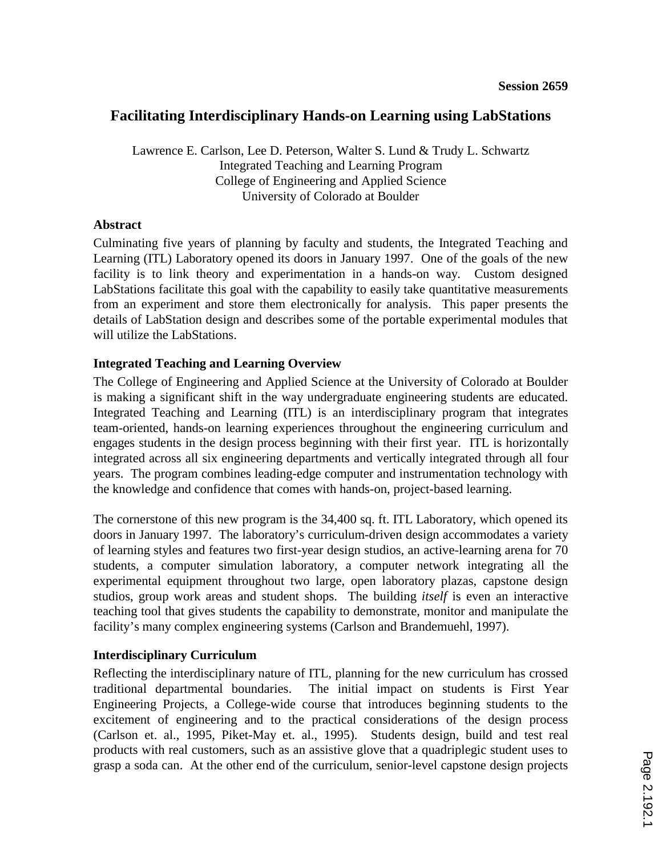# **Facilitating Interdisciplinary Hands-on Learning using LabStations**

Lawrence E. Carlson, Lee D. Peterson, Walter S. Lund & Trudy L. Schwartz Integrated Teaching and Learning Program College of Engineering and Applied Science University of Colorado at Boulder

### **Abstract**

Culminating five years of planning by faculty and students, the Integrated Teaching and Learning (ITL) Laboratory opened its doors in January 1997. One of the goals of the new facility is to link theory and experimentation in a hands-on way. Custom designed LabStations facilitate this goal with the capability to easily take quantitative measurements from an experiment and store them electronically for analysis. This paper presents the details of LabStation design and describes some of the portable experimental modules that will utilize the LabStations.

### **Integrated Teaching and Learning Overview**

The College of Engineering and Applied Science at the University of Colorado at Boulder is making a significant shift in the way undergraduate engineering students are educated. Integrated Teaching and Learning (ITL) is an interdisciplinary program that integrates team-oriented, hands-on learning experiences throughout the engineering curriculum and engages students in the design process beginning with their first year. ITL is horizontally integrated across all six engineering departments and vertically integrated through all four years. The program combines leading-edge computer and instrumentation technology with the knowledge and confidence that comes with hands-on, project-based learning.

The cornerstone of this new program is the 34,400 sq. ft. ITL Laboratory, which opened its doors in January 1997. The laboratory's curriculum-driven design accommodates a variety of learning styles and features two first-year design studios, an active-learning arena for 70 students, a computer simulation laboratory, a computer network integrating all the experimental equipment throughout two large, open laboratory plazas, capstone design studios, group work areas and student shops. The building *itself* is even an interactive teaching tool that gives students the capability to demonstrate, monitor and manipulate the facility's many complex engineering systems (Carlson and Brandemuehl, 1997).

### **Interdisciplinary Curriculum**

Reflecting the interdisciplinary nature of ITL, planning for the new curriculum has crossed traditional departmental boundaries. The initial impact on students is First Year Engineering Projects, a College-wide course that introduces beginning students to the excitement of engineering and to the practical considerations of the design process (Carlson et. al., 1995, Piket-May et. al., 1995). Students design, build and test real products with real customers, such as an assistive glove that a quadriplegic student uses to grasp a soda can. At the other end of the curriculum, senior-level capstone design projects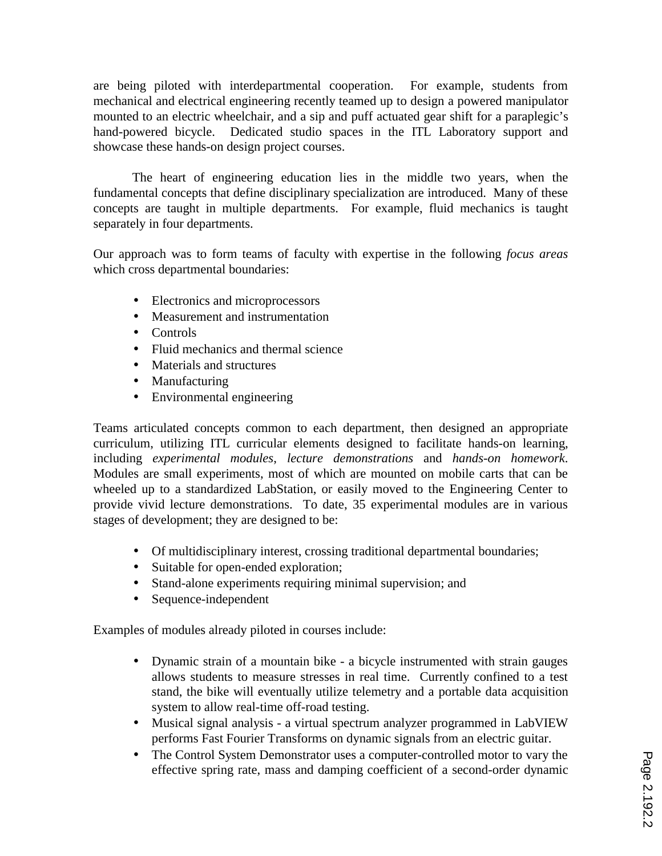are being piloted with interdepartmental cooperation. For example, students from mechanical and electrical engineering recently teamed up to design a powered manipulator mounted to an electric wheelchair, and a sip and puff actuated gear shift for a paraplegic's hand-powered bicycle. Dedicated studio spaces in the ITL Laboratory support and showcase these hands-on design project courses.

The heart of engineering education lies in the middle two years, when the fundamental concepts that define disciplinary specialization are introduced. Many of these concepts are taught in multiple departments. For example, fluid mechanics is taught separately in four departments.

Our approach was to form teams of faculty with expertise in the following *focus areas* which cross departmental boundaries:

- Electronics and microprocessors
- Measurement and instrumentation
- Controls
- Fluid mechanics and thermal science
- Materials and structures
- Manufacturing
- Environmental engineering

Teams articulated concepts common to each department, then designed an appropriate curriculum, utilizing ITL curricular elements designed to facilitate hands-on learning, including *experimental modules*, *lecture demonstrations* and *hands-on homework*. Modules are small experiments, most of which are mounted on mobile carts that can be wheeled up to a standardized LabStation, or easily moved to the Engineering Center to provide vivid lecture demonstrations. To date, 35 experimental modules are in various stages of development; they are designed to be:

- Of multidisciplinary interest, crossing traditional departmental boundaries;
- Suitable for open-ended exploration;
- Stand-alone experiments requiring minimal supervision; and
- Sequence-independent

Examples of modules already piloted in courses include:

- Dynamic strain of a mountain bike a bicycle instrumented with strain gauges allows students to measure stresses in real time. Currently confined to a test stand, the bike will eventually utilize telemetry and a portable data acquisition system to allow real-time off-road testing.
- Musical signal analysis a virtual spectrum analyzer programmed in LabVIEW performs Fast Fourier Transforms on dynamic signals from an electric guitar.
- The Control System Demonstrator uses a computer-controlled motor to vary the effective spring rate, mass and damping coefficient of a second-order dynamic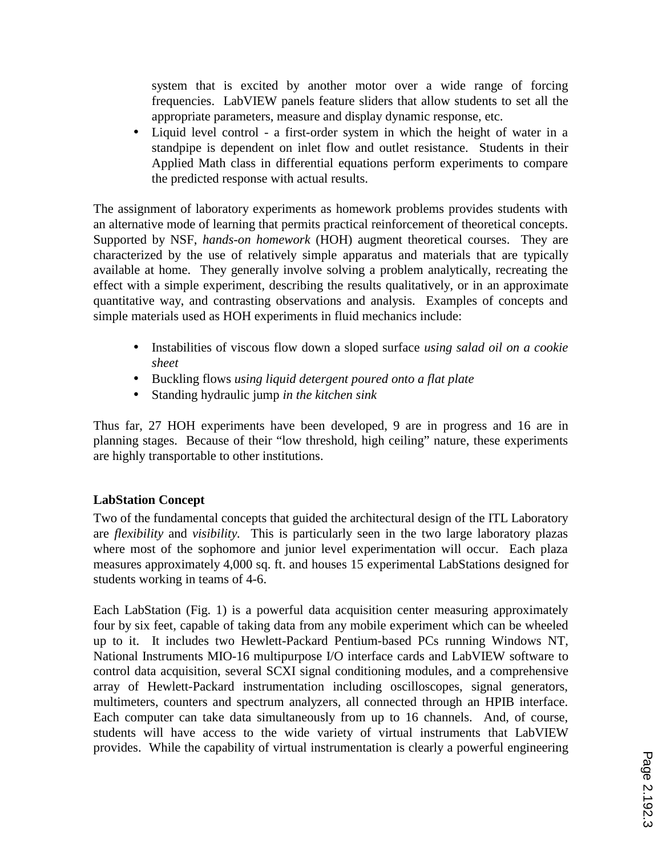system that is excited by another motor over a wide range of forcing frequencies. LabVIEW panels feature sliders that allow students to set all the appropriate parameters, measure and display dynamic response, etc.

• Liquid level control - a first-order system in which the height of water in a standpipe is dependent on inlet flow and outlet resistance. Students in their Applied Math class in differential equations perform experiments to compare the predicted response with actual results.

The assignment of laboratory experiments as homework problems provides students with an alternative mode of learning that permits practical reinforcement of theoretical concepts. Supported by NSF, *hands-on homework* (HOH) augment theoretical courses. They are characterized by the use of relatively simple apparatus and materials that are typically available at home. They generally involve solving a problem analytically, recreating the effect with a simple experiment, describing the results qualitatively, or in an approximate quantitative way, and contrasting observations and analysis. Examples of concepts and simple materials used as HOH experiments in fluid mechanics include:

- Instabilities of viscous flow down a sloped surface *using salad oil on a cookie sheet*
- Buckling flows *using liquid detergent poured onto a flat plate*
- Standing hydraulic jump *in the kitchen sink*

Thus far, 27 HOH experiments have been developed, 9 are in progress and 16 are in planning stages. Because of their "low threshold, high ceiling" nature, these experiments are highly transportable to other institutions.

# **LabStation Concept**

Two of the fundamental concepts that guided the architectural design of the ITL Laboratory are *flexibility* and *visibility.* This is particularly seen in the two large laboratory plazas where most of the sophomore and junior level experimentation will occur. Each plaza measures approximately 4,000 sq. ft. and houses 15 experimental LabStations designed for students working in teams of 4-6.

Each LabStation (Fig. 1) is a powerful data acquisition center measuring approximately four by six feet, capable of taking data from any mobile experiment which can be wheeled up to it. It includes two Hewlett-Packard Pentium-based PCs running Windows NT, National Instruments MIO-16 multipurpose I/O interface cards and LabVIEW software to control data acquisition, several SCXI signal conditioning modules, and a comprehensive array of Hewlett-Packard instrumentation including oscilloscopes, signal generators, multimeters, counters and spectrum analyzers, all connected through an HPIB interface. Each computer can take data simultaneously from up to 16 channels. And, of course, students will have access to the wide variety of virtual instruments that LabVIEW provides. While the capability of virtual instrumentation is clearly a powerful engineering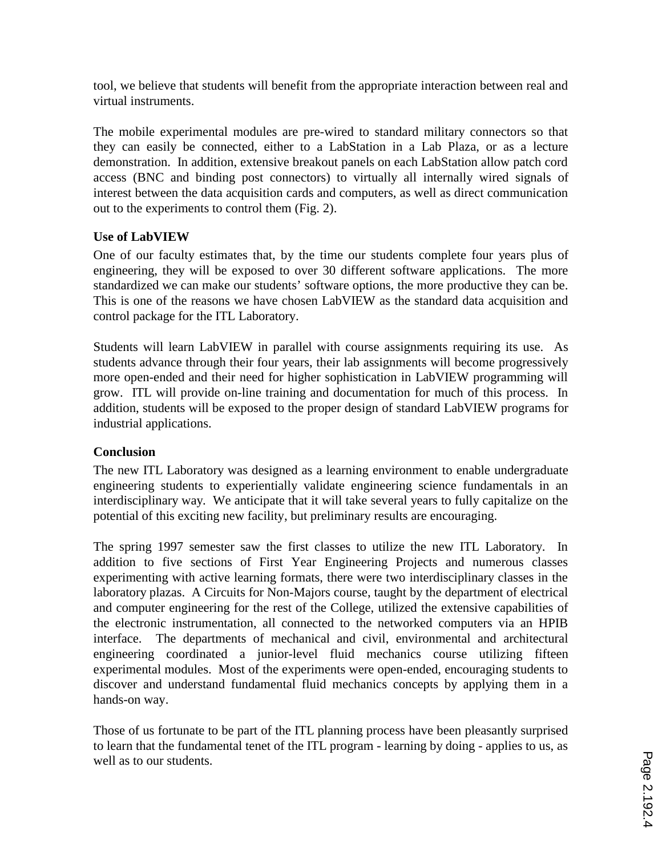tool, we believe that students will benefit from the appropriate interaction between real and virtual instruments.

The mobile experimental modules are pre-wired to standard military connectors so that they can easily be connected, either to a LabStation in a Lab Plaza, or as a lecture demonstration. In addition, extensive breakout panels on each LabStation allow patch cord access (BNC and binding post connectors) to virtually all internally wired signals of interest between the data acquisition cards and computers, as well as direct communication out to the experiments to control them (Fig. 2).

### **Use of LabVIEW**

One of our faculty estimates that, by the time our students complete four years plus of engineering, they will be exposed to over 30 different software applications. The more standardized we can make our students' software options, the more productive they can be. This is one of the reasons we have chosen LabVIEW as the standard data acquisition and control package for the ITL Laboratory.

Students will learn LabVIEW in parallel with course assignments requiring its use. As students advance through their four years, their lab assignments will become progressively more open-ended and their need for higher sophistication in LabVIEW programming will grow. ITL will provide on-line training and documentation for much of this process. In addition, students will be exposed to the proper design of standard LabVIEW programs for industrial applications.

# **Conclusion**

The new ITL Laboratory was designed as a learning environment to enable undergraduate engineering students to experientially validate engineering science fundamentals in an interdisciplinary way. We anticipate that it will take several years to fully capitalize on the potential of this exciting new facility, but preliminary results are encouraging.

The spring 1997 semester saw the first classes to utilize the new ITL Laboratory. In addition to five sections of First Year Engineering Projects and numerous classes experimenting with active learning formats, there were two interdisciplinary classes in the laboratory plazas. A Circuits for Non-Majors course, taught by the department of electrical and computer engineering for the rest of the College, utilized the extensive capabilities of the electronic instrumentation, all connected to the networked computers via an HPIB interface. The departments of mechanical and civil, environmental and architectural engineering coordinated a junior-level fluid mechanics course utilizing fifteen experimental modules. Most of the experiments were open-ended, encouraging students to discover and understand fundamental fluid mechanics concepts by applying them in a hands-on way.

Those of us fortunate to be part of the ITL planning process have been pleasantly surprised to learn that the fundamental tenet of the ITL program - learning by doing - applies to us, as well as to our students.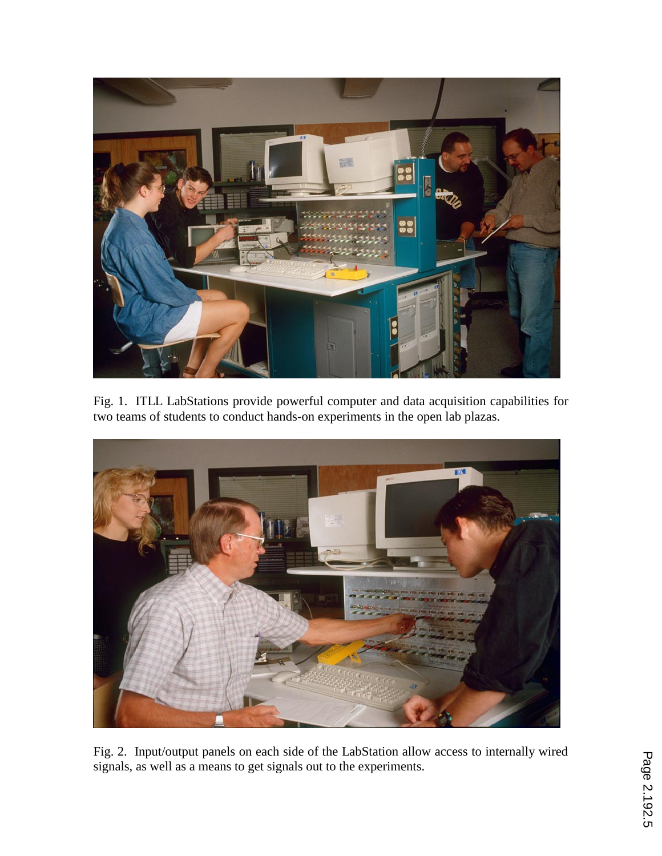

Fig. 1. ITLL LabStations provide powerful computer and data acquisition capabilities for two teams of students to conduct hands-on experiments in the open lab plazas.



Fig. 2. Input/output panels on each side of the LabStation allow access to internally wired signals, as well as a means to get signals out to the experiments.